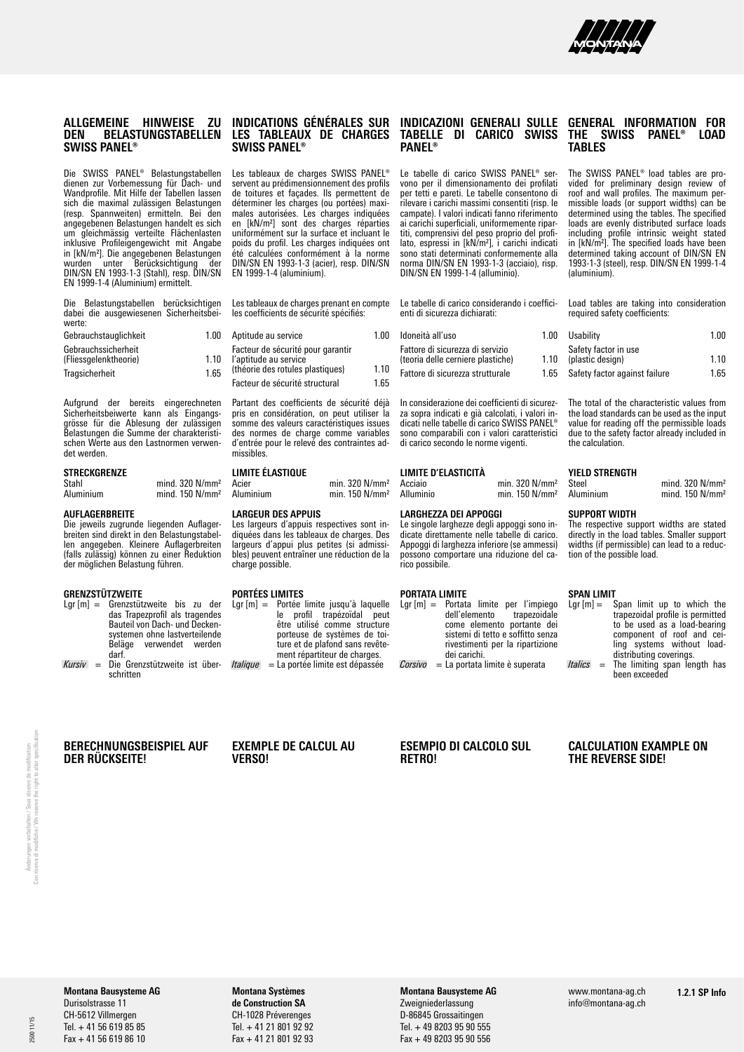

### **ALLGEMEINE HINWEISE ZU DEN BELASTUNGSTABELLEN SWISS PANEL®**

Die SWISS PANEL® Belastungstabellen dienen zur Vorbemessung für Dach- und Wandprofile. Mit Hilfe der Tabellen lassen sich die maximal zulässigen Belastungen (resp. Spannweiten) ermitteln. Bei den angegebenen Belastungen handelt es sich um gleichmässig verteilte Flächenlasten inklusive Profileigengewicht mit Angabe in [kN/m²]. Die angegebenen Belastungen wurden unter Berücksichtigung der DIN/SN EN 1993-1-3 (Stahl), resp. DIN/SN EN 1999-1-4 (Aluminium) ermittelt.

Die Belastungstabellen berücksichtigen dabei die ausgewiesenen Sicherheitsbeiwerte:

| Gebrauchstauglichkeit                        | 1.00 |
|----------------------------------------------|------|
| Gebrauchssicherheit<br>(Fliessgelenktheorie) | 1.10 |
| Tragsicherheit                               | 1.65 |

Aufgrund der bereits eingerechneten Sicherheitsbeiwerte kann als Eingangsgrösse für die Ablesung der zulässigen Belastungen die Summe der charakteristischen Werte aus den Lastnormen verwendet werden.

### **STRECKGRENZE**

| Stahl     | mind. $320$ N/mm <sup>2</sup> |
|-----------|-------------------------------|
| Aluminium | mind. $150$ N/mm <sup>2</sup> |

#### **AUFLAGERBREITE**

Die jeweils zugrunde liegenden Auflagerbreiten sind direkt in den Belastungstabellen angegeben. Kleinere Auflagerbreiten (falls zulässig) können zu einer Reduktion der möglichen Belastung führen.

### **GRENZSTÜTZWEITE**

- Lgr [m] = Grenzstützweite bis zu der das Trapezprofil als tragendes Bauteil von Dach- und Deckensystemen ohne lastverteilende Beläge verwendet werden darf.
- *Kursiv* = Die Grenzstützweite ist über-*Italique* = La portée limite est dépassée schritten

### **INDICATIONS GÉNÉRALES SUR LES TABLEAUX DE CHARGES SWISS PANEL®**

Les tableaux de charges SWISS PANEL® servent au prédimensionnement des profils de toitures et façades. Ils permettent de déterminer les charges (ou portées) maximales autorisées. Les charges indiquées en [kN/m²] sont des charges réparties uniformément sur la surface et incluant le poids du profil. Les charges indiquées ont été calculées conformément à la norme DIN/SN EN 1993-1-3 (acier), resp. DIN/SN EN 1999-1-4 (aluminium).

Les tableaux de charges prenant en compte les coefficients de sécurité spécifiés:

| Aptitude au service                                        | 1 00  |
|------------------------------------------------------------|-------|
| Facteur de sécurité pour garantir<br>l'aptitude au service |       |
| (théorie des rotules plastiques)                           | 1 1 0 |
| Facteur de sécurité structural                             | 165   |

Partant des coefficients de sécurité déjà pris en considération, on peut utiliser la somme des valeurs caractéristiques issues des normes de charge comme variables d'entrée pour le relevé des contraintes admissibles.

## **LIMITE ÉLASTIQUE**

Acier min. 320 N/mm<sup>2</sup><br>Aluminium min. 150 N/mm<sup>2</sup> min  $150$  N/mm<sup>2</sup>

#### **LARGEUR DES APPUIS**

Les largeurs d'appuis respectives sont indiquées dans les tableaux de charges. Des largeurs d'appui plus petites (si admissibles) peuvent entraîner une réduction de la charge possible.

# **PORTÉES LIMITES**

| Lgr [m] = Portée limite jusqu'à laquelle        |
|-------------------------------------------------|
| profil trapézoïdal peut<br>le.                  |
| être utilisé comme structure                    |
| porteuse de systèmes de toi-                    |
| ture et de plafond sans revête-                 |
| ment répartiteur de charges.                    |
| <i>Italique</i> = La portée limite est dépassée |

#### **INDICAZIONI GENERALI SULLE TABELLE DI CARICO SWISS PANEL®**

Le tabelle di carico SWISS PANEL® servono per il dimensionamento dei profilati per tetti e pareti. Le tabelle consentono di rilevare i carichi massimi consentiti (risp. le campate). I valori indicati fanno riferimento ai carichi superficiali, uniformemente ripartiti, comprensivi del peso proprio del profilato, espressi in [kN/m²], i carichi indicati sono stati determinati conformemente alla norma DIN/SN EN 1993-1-3 (acciaio), risp. DIN/SN EN 1999-1-4 (alluminio).

Le tabelle di carico considerando i coefficienti di sicurezza dichiarati:

| Idoneità all'uso                                                      | 1 00 |
|-----------------------------------------------------------------------|------|
| Fattore di sicurezza di servizio<br>(teoria delle cerniere plastiche) | 110  |
| Fattore di sicurezza strutturale                                      | 165  |

In considerazione dei coefficienti di sicurezza sopra indicati e già calcolati, i valori indicati nelle tabelle di carico SWISS PANEL® sono comparabili con i valori caratteristici di carico secondo le norme vigenti.

## **LIMITE D'ELASTICITÀ**

Acciaio min. 320 N/mm<sup>2</sup><br>Alluminio min. 150 N/mm<sup>2</sup> min  $150$  N/mm²

#### **LARGHEZZA DEI APPOGGI**

Le singole larghezze degli appoggi sono indicate direttamente nelle tabelle di carico. Appoggi di larghezza inferiore (se ammessi) possono comportare una riduzione del carico possibile.

#### **PORTATA LIMITE**

| $Lqr[m] =$ Portata limite per l'impiego           |
|---------------------------------------------------|
| dell'elemento trapezoidale                        |
| come elemento portante dei                        |
| sistemi di tetto e soffitto senza                 |
| rivestimenti per la ripartizione                  |
| dei carichi.                                      |
| $\textit{Corsivo}$ = La portata limite è superata |

#### **GENERAL INFORMATION FOR THE SWISS PANEL® TABLES**

The SWISS PANEL® load tables are provided for preliminary design review of roof and wall profiles. The maximum permissible loads (or support widths) can be determined using the tables. The specified loads are evenly distributed surface loads including profile intrinsic weight stated in [kN/m²]. The specified loads have been determined taking account of DIN/SN EN 1993-1-3 (steel), resp. DIN/SN EN 1999-1-4 (aluminium).

Load tables are taking into consideration required safety coefficients:

| Usability                                | 1 00  |
|------------------------------------------|-------|
| Safety factor in use<br>(plastic design) | 1 1 0 |
| Safety factor against failure            | 165   |

The total of the characteristic values from the load standards can be used as the input value for reading off the permissible loads due to the safety factor already included in the calculation.

#### **YIELD STRENGTH**

| Steel     | mind. $320$ N/mm <sup>2</sup> |
|-----------|-------------------------------|
| Aluminium | mind. 150 N/mm <sup>2</sup>   |

#### **SUPPORT WIDTH**

The respective support widths are stated directly in the load tables. Smaller support widths (if permissible) can lead to a reduction of the possible load.

## **SPAN LIMIT**<br>Lar [m] = S

| Lgr $[m] =$ | Span limit up to which the       |
|-------------|----------------------------------|
|             | trapezoidal profile is permitted |
|             | to be used as a load-bearing     |
|             | component of roof and cei-       |
|             | ling systems without load-       |
|             | distributing coverings.          |
| $H\no$      | The limiting cann longth has     |

*Italics* = The limiting span length has been exceeded

### **BERECHNUNGSBEISPIEL AUF DER RÜCKSEITE!**

#### **EXEMPLE DE CALCUL AU VERSO!**

## **ESEMPIO DI CALCOLO SUL RETRO!**

**CALCULATION EXAMPLE ON THE REVERSE SIDE!**

 $11/15$ 25001

#### **Montana Bausysteme AG** Durisolstrasse 11

CH-5612 Villmergen Tel. + 41 56 619 85 85 Fax + 41 56 619 86 10

**Montana Systèmes de Construction SA** CH-1028 Préverenges Tel. + 41 21 801 92 92 Fax + 41 21 801 92 93

## **Montana Bausysteme AG** Zweigniederlassung D-86845 Grossaitingen

Tel. + 49 8203 95 90 555 Fax + 49 8203 95 90 556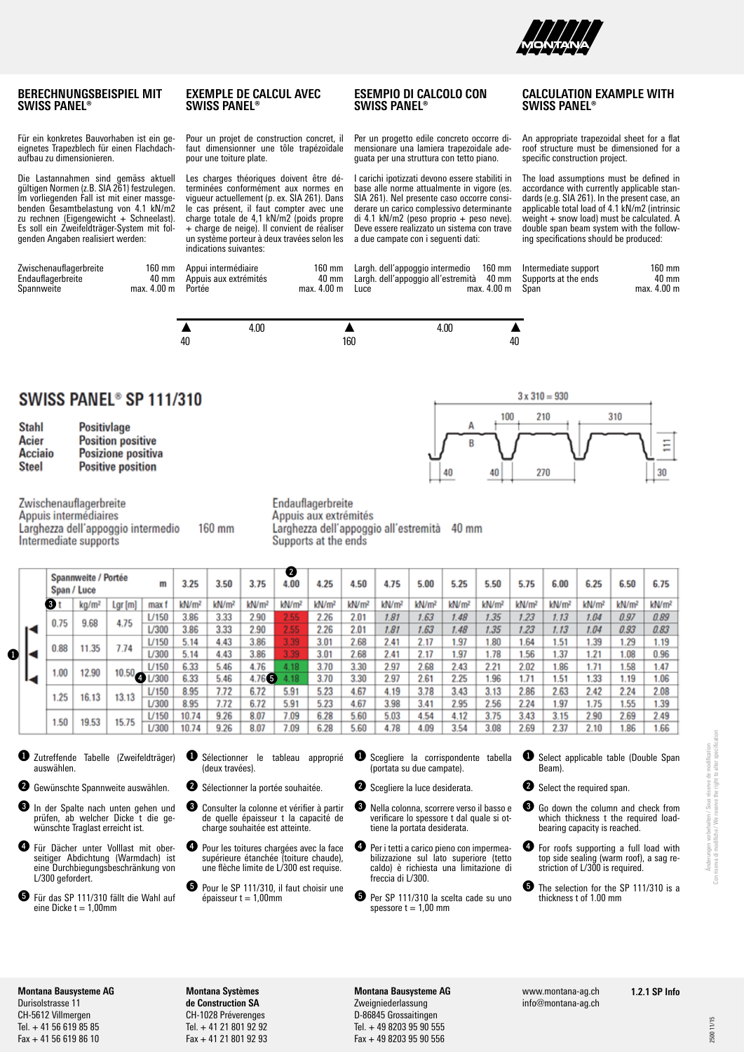

**SWISS PANEL®**

 $3 \times 310 = 930$ 

210

270

100

40

R

40

## **BERECHNUNGSBEISPIEL MIT SWISS PANEL®**

Für ein konkretes Bauvorhaben ist ein geeignetes Trapezblech für einen Flachdachaufbau zu dimensionieren.

Die Lastannahmen sind gemäss aktuell gültigen Normen (z.B. SIA 261) festzulegen. Im vorliegenden Fall ist mit einer massgebenden Gesamtbelastung von 4.1 kN/m2 zu rechnen (Eigengewicht + Schneelast). Es soll ein Zweifeldträger-System mit folgenden Angaben realisiert werden:

| Zwischenauflagerbreite | 160 mm          |
|------------------------|-----------------|
| Endauflagerbreite      | $40 \text{ mm}$ |
| Spannweite             | max. 4.00 m     |

#### **EXEMPLE DE CALCUL AVEC SWISS PANEL®**

Pour un projet de construction concret, il faut dimensionner une tôle trapézoïdale pour une toiture plate.

Les charges théoriques doivent être déterminées conformément aux normes en vigueur actuellement (p. ex. SIA 261). Dans le cas présent, il faut compter avec une charge totale de 4,1 kN/m2 (poids propre + charge de neige). Il convient de réaliser un système porteur à deux travées selon les indications suivantes:

**ESEMPIO DI CALCOLO CON SWISS PANEL®**

Per un progetto edile concreto occorre dimensionare una lamiera trapezoidale adeguata per una struttura con tetto piano.

I carichi ipotizzati devono essere stabiliti in base alle norme attualmente in vigore (es. SIA 261). Nel presente caso occorre considerare un carico complessivo determinante di 4.1 kN/m2 (peso proprio + peso neve). Deve essere realizzato un sistema con trave a due campate con i seguenti dati:

An appropriate trapezoidal sheet for a flat roof structure must be dimensioned for a specific construction project.

**CALCULATION EXAMPLE WITH** 

The load assumptions must be defined in accordance with currently applicable standards (e.g. SIA 261). In the present case, an applicable total load of 4.1 kN/m2 (intrinsic weight + snow load) must be calculated. A double span beam system with the following specifications should be produced:

310

Ξ

30

| te | max. 4.00 m Portée | 160 mm Appui intermédiaire<br>40 mm Appuis aux extrémités | max. 4.00 m Luce | 160 mm Largh. dell'appoggio intermedio 160 mm Intermediate support<br>40 mm Largh. dell'appoggio all'estremità 40 mm Supports at the ends | max. 4.00 m | Span | 160 mm<br>40 mm<br>max. 4.00 m |
|----|--------------------|-----------------------------------------------------------|------------------|-------------------------------------------------------------------------------------------------------------------------------------------|-------------|------|--------------------------------|
|----|--------------------|-----------------------------------------------------------|------------------|-------------------------------------------------------------------------------------------------------------------------------------------|-------------|------|--------------------------------|



SWISS PANEL® SP 111/310

| Stahl          | <b>Positivlage</b>       |
|----------------|--------------------------|
| Acier          | <b>Position positive</b> |
| <b>Acciaio</b> | Posizione positiva       |
| <b>Steel</b>   | <b>Positive position</b> |

Zwischenauflagerbreite Appuis intermédiaires Larghezza dell'appoggio intermedio 160 mm Intermediate supports

Endauflagerbreite Appuis aux extrémités Larghezza dell'appoggio all'estremità 40 mm Supports at the ends

|   |  |      | Spannweite / Portée<br>Span / Luce |                    | m       | 3.25              | 3.50              | 3.75              | Ø<br>4.00         | 4.25              | 4.50              | 4.75              | 5.00              | 5.25              | 5.50              | 5.75              | 6.00              | 6.25              | 6.50              | 6.75              |
|---|--|------|------------------------------------|--------------------|---------|-------------------|-------------------|-------------------|-------------------|-------------------|-------------------|-------------------|-------------------|-------------------|-------------------|-------------------|-------------------|-------------------|-------------------|-------------------|
|   |  | ❸    | $kq/m^2$                           | Lgr (m)            | max f   | kN/m <sup>2</sup> | kN/m <sup>2</sup> | kN/m <sup>2</sup> | kN/m <sup>2</sup> | kN/m <sup>2</sup> | kN/m <sup>2</sup> | kN/m <sup>2</sup> | kN/m <sup>2</sup> | kN/m <sup>2</sup> | kN/m <sup>2</sup> | kN/m <sup>2</sup> | kN/m <sup>2</sup> | kN/m <sup>2</sup> | kN/m <sup>2</sup> | kN/m <sup>2</sup> |
|   |  | 0.75 | 9.68                               | 4.75               | L/150   | 3.86              | 3.33              | 2.90              | 2.55              | 2.26              | 2.01              | 1.81              | 1.63              | 1.48              | 1.35              | 1.23              | 1.13              | 1.04              | 0.97              | 0.89              |
|   |  |      |                                    |                    | L/300   | 3.86              | 3.33              | 2.90              | 2.55              | 2.26              | 2.01              | 1.81              | 1.63              | 1.48              | 1.35              | 1.23              | 1.13              | 1.04              | 0.93              | 0.83              |
|   |  | 0.88 | 11.35                              | 7.74               | $U$ 150 | 5.14              | 4.43              | 3.86              | 3.39              | 3.01              | 2.68              | 2.41              | 2.17              | .97               | .80               | 1.64              | 1.51              | .39               | 1.29              | 1.19              |
| 0 |  |      |                                    |                    | L/300   | 5.14              | 4.43              | 3.86              | 3.39              | 3.01              | 2.68              | 2.41              | 2.17              | 1.97              | 1.78              | 1.56              | 1.37              | 21                | 1.08              | 0.96              |
|   |  | 1.00 | 12.90                              |                    | L/150   | 6.33              | 5.46              | 4.76              | 4.18              | 3.70              | 3.30              | 2.97              | 2.68              | 2.43              | 2.21              | 2.02              | 1.86              | 1.71              | 1.58              | 1.47              |
|   |  |      |                                    | $10.50_{\bigodot}$ | L/300   | 6.33              | 5.46              | 4.76<br>O         | 4.18              | 3.70              | 3.30              | 2.97              | 2.61              | 2.25              | 1.96              | 1.71              | 1.51              | 1.33              | 1.19              | 1.06              |
|   |  | 1.25 | 16.13                              | 13.13              | $U$ 150 | 8.95              | 7.72              | 6.72              | 5.91              | 5.23              | 4.67              | 4.19              | 3.78              | 3.43              | 3.13              | 2.86              | 2.63              | 2.42              | 2.24              | 2.08              |
|   |  |      |                                    |                    | L/300   | 8.95              | 7.72              | 6.72              | 5.91              | 5.23              | 4.67              | 3.98              | 3.41              | 2.95              | 2.56              | 2.24              | 1.97              | 1.75              | 1.55              | 1.39              |
|   |  | 1.50 | 19.53                              | 15.75              | $U$ 150 | 10.74             | 9.26              | 8.07              | 7.09              | 6.28              | 5.60              | 5.03              | 4.54              | 4.12              | 3.75              | 3.43              | 3.15              | 2.90              | 2.69              | 2.49              |
|   |  |      |                                    |                    | L/300   | 10.74             | 9.26              | 8.07              | 7.09              | 6.28              | 5.60              | 4.78              | 4.09              | 3.54              | 3.08              | 2.69              | 2.37              | 2.10              | 1.86              | 1.66              |

- 1 Zutreffende Tabelle (Zweifeldträger) auswählen.
- **2** Gewünschte Spannweite auswählen.
- In der Spalte nach unten gehen und prüfen, ab welcher Dicke t die gewünschte Traglast erreicht ist.
- 4 Für Dächer unter Volllast mit oberseitiger Abdichtung (Warmdach) ist eine Durchbiegungsbeschränkung von L/300 gefordert.
- 5 Für das SP 111/310 fällt die Wahl auf  $eine$  Dicke  $t = 1,00$ mm
- **1** Sélectionner le tableau approprié (deux travées).
- <sup>2</sup> Sélectionner la portée souhaitée.
- Consulter la colonne et vérifier à partir de quelle épaisseur t la capacité de charge souhaitée est atteinte.
	- Pour les toitures chargées avec la face supérieure étanchée (toiture chaude), une flèche limite de L/300 est requise.
	- Pour le SP 111/310, il faut choisir une épaisseur t = 1,00mm
- **1** Scegliere la corrispondente tabella (portata su due campate).
- <sup>2</sup> Scegliere la luce desiderata.
	- 3 Nella colonna, scorrere verso il basso e verificare lo spessore t dal quale si ottiene la portata desiderata.
- 4 Per i tetti a carico pieno con impermeabilizzazione sul lato superiore (tetto caldo) è richiesta una limitazione di freccia di L/300.
- 5 Per SP 111/310 la scelta cade su uno spessore  $t = 1,00$  mm
- **1** Select applicable table (Double Span Beam).
- **2** Select the required span.
- **3** Go down the column and check from which thickness t the required loadbearing capacity is reached.
- For roofs supporting a full load with top side sealing (warm roof), a sag restriction of L/300 is required.
- The selection for the SP 111/310 is a thickness t of 1.00 mm

**Montana Bausysteme AG** Durisolstrasse 11 CH-5612 Villmergen Tel. + 41 56 619 85 85 Fax + 41 56 619 86 10

**Montana Systèmes de Construction SA** CH-1028 Préverenges Tel. + 41 21 801 92 92 Fax + 41 21 801 92 93 **Montana Bausysteme AG** Zweigniederlassung D-86845 Grossaitingen Tel. + 49 8203 95 90 555 Fax + 49 8203 95 90 556

www.montana-ag.ch info@montana-ag.ch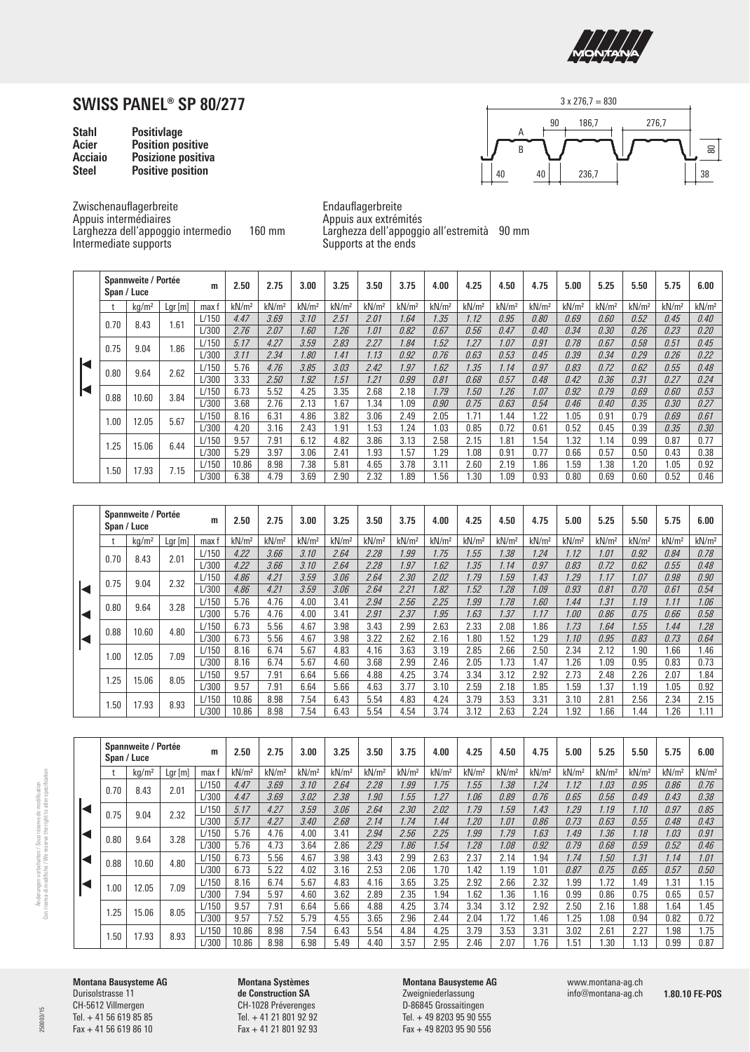

| <b>Stahl</b>   | <b>Positivlage</b>       |
|----------------|--------------------------|
| Acier          | <b>Position positive</b> |
| <b>Acciaio</b> | Posizione positiva       |
| <b>Steel</b>   | <b>Positive position</b> |



Zwischenauflagerbreite Appuis intermédiaires Larghezza dell'appoggio intermedio 160 mm Intermediate supports

Endauflagerbreite Appuis aux extrémités Larghezza dell'appoggio all'estremità 90 mm Supports at the ends

|   |      | Spannweite / Portée<br>Span / Luce |           | m     | 2.50              | 2.75              | 3.00              | 3.25              | 3.50              | 3.75              | 4.00              | 4.25              | 4.50              | 4.75              | 5.00              | 5.25              | 5.50              | 5.75              | 6.00              |
|---|------|------------------------------------|-----------|-------|-------------------|-------------------|-------------------|-------------------|-------------------|-------------------|-------------------|-------------------|-------------------|-------------------|-------------------|-------------------|-------------------|-------------------|-------------------|
|   |      | kq/m <sup>2</sup>                  | $Lgr$ [m] | max f | kN/m <sup>2</sup> | kN/m <sup>2</sup> | kN/m <sup>2</sup> | kN/m <sup>2</sup> | kN/m <sup>2</sup> | kN/m <sup>2</sup> | kN/m <sup>2</sup> | kN/m <sup>2</sup> | kN/m <sup>2</sup> | kN/m <sup>2</sup> | kN/m <sup>2</sup> | kN/m <sup>2</sup> | kN/m <sup>2</sup> | kN/m <sup>2</sup> | kN/m <sup>2</sup> |
|   | 0.70 | 8.43                               | 1.61      | L/150 | 4.47              | 3.69              | 3.10              | 2.51              | 2.01              | 1.64              | 1.35              | 1.12              | 0.95              | 0.80              | 0.69              | 0.60              | 0.52              | 0.45              | 0.40              |
|   |      |                                    |           | L/300 | 2.76              | 2.07              | 1.60              | 1.26              | 1.01              | 0.82              | 0.67              | 0.56              | 0.47              | 0.40              | 0.34              | 0.30              | 0.26              | 0.23              | 0.20              |
|   | 0.75 | 9.04                               | 1.86      | L/150 | 5.17              | 4.27              | 3.59              | 2.83              | 2.27              | 1.84              | 1.52              | 1.27              | 1.07              | 0.91              | 0.78              | 0.67              | 0.58              | 0.51              | 0.45              |
|   |      |                                    |           | L/300 | 3.11              | 2.34              | 1.80              | 1.41              | 1.13              | 0.92              | 0.76              | 0.63              | 0.53              | 0.45              | 0.39              | 0.34              | 0.29              | 0.26              | 0.22              |
| К | 0.80 | 9.64                               | 2.62      | L/150 | 5.76              | 4.76              | 3.85              | 3.03              | 2.42              | 1.97              | 1.62              | 1.35              | 1.14              | 0.97              | 0.83              | 0.72              | 0.62              | 0.55              | 0.48              |
|   |      |                                    |           | L/300 | 3.33              | 2.50              | 1.92              | 1.51              | 1.21              | 0.99              | 0.81              | 0.68              | 0.57              | 0.48              | 0.42              | 0.36              | 0.31              | 0.27              | 0.24              |
| ◀ |      | 10.60                              | 3.84      | L/150 | 6.73              | 5.52              | 4.25              | 3.35              | 2.68              | 2.18              | 1.79              | 1.50              | 1.26              | 1.07              | 0.92              | 0.79              | 0.69              | 0.60              | 0.53              |
|   | 0.88 |                                    |           | L/300 | 3.68              | 2.76              | 2.13              | 1.67              | 1.34              | 1.09              | 0.90              | 0.75              | 0.63              | 0.54              | 0.46              | 0.40              | 0.35              | 0.30              | 0.27              |
|   | 1.00 | 12.05                              | 5.67      | L/150 | 8.16              | 6.31              | 4.86              | 3.82              | 3.06              | 2.49              | 2.05              | 1.71              | 1.44              | .22               | 1.05              | 0.91              | 0.79              | 0.69              | 0.61              |
|   |      |                                    |           | L/300 | 4.20              | 3.16              | 2.43              | 1.91              | 1.53              | 1.24              | 1.03              | 0.85              | 0.72              | 0.61              | 0.52              | 0.45              | 0.39              | 0.35              | 0.30              |
|   | 1.25 | 15.06                              | 6.44      | L/150 | 9.57              | 7.91              | 6.12              | 4.82              | 3.86              | 3.13              | 2.58              | 2.15              | .81               | .54               | 1.32              | 1.14              | 0.99              | 0.87              | 0.77              |
|   |      |                                    |           | L/300 | 5.29              | 3.97              | 3.06              | 2.41              | 1.93              | 1.57              | 1.29              | .08               | 0.91              | 0.77              | 0.66              | 0.57              | 0.50              | 0.43              | 0.38              |
|   | 1.50 | 17.93                              | 7.15      | L/150 | 10.86             | 8.98              | 7.38              | 5.81              | 4.65              | 3.78              | 3.11              | 2.60              | 2.19              | .86               | 1.59              | 1.38              | 1.20              | 1.05              | 0.92              |
|   |      |                                    |           | L/300 | 6.38              | 4.79              | 3.69              | 2.90              | 2.32              | i.89              | 1.56              | .30               | .09               | 0.93              | 0.80              | 0.69              | 0.60              | 0.52              | 0.46              |

| Span / Luce | Spannweite / Portée |        | m     | 2.50              | 2.75              | 3.00              | 3.25              | 3.50              | 3.75              | 4.00              | 4.25              | 4.50              | 4.75              | 5.00              | 5.25              | 5.50              | 5.75              | 6.00              |
|-------------|---------------------|--------|-------|-------------------|-------------------|-------------------|-------------------|-------------------|-------------------|-------------------|-------------------|-------------------|-------------------|-------------------|-------------------|-------------------|-------------------|-------------------|
|             | kg/m <sup>2</sup>   | Lgr[m] | max f | kN/m <sup>2</sup> | kN/m <sup>2</sup> | kN/m <sup>2</sup> | kN/m <sup>2</sup> | kN/m <sup>2</sup> | kN/m <sup>2</sup> | kN/m <sup>2</sup> | kN/m <sup>2</sup> | kN/m <sup>2</sup> | kN/m <sup>2</sup> | kN/m <sup>2</sup> | kN/m <sup>2</sup> | kN/m <sup>2</sup> | kN/m <sup>2</sup> | kN/m <sup>2</sup> |
| 0.70        | 8.43                | 2.01   | L/150 | 4.22              | 3.66              | 3.10              | 2.64              | 2.28              | 1.99              | 1.75              | 1.55              | 1.38              | 1.24              | 1.12              | 1.01              | 0.92              | 0.84              | 0.78              |
|             |                     |        | L/300 | 4.22              | 3.66              | 3.10              | 2.64              | 2.28              | 1.97              | 1.62              | 1.35              | 1.14              | 0.97              | 0.83              | 0.72              | 0.62              | 0.55              | 0.48              |
| 0.75        | 9.04                | 2.32   | L/150 | 4.86              | 4.21              | 3.59              | 3.06              | 2.64              | 2.30              | 2.02              | 1.79              | 1.59              | 1.43              | 1.29              | 1.17              | 1.07              | 0.98              | 0.90              |
|             |                     |        | L/300 | 4.86              | 4.21              | 3.59              | 3.06              | 2.64              | 2.21              | 1.82              | 1.52              | 1.28              | 1.09              | 0.93              | 0.81              | 0.70              | 0.61              | 0.54              |
| 0.80        | 9.64                | 3.28   | L/150 | 5.76              | 4.76              | 4.00              | 3.41              | 2.94              | 2.56              | 2.25              | 1.99              | 1.78              | 1.60              | 1.44              | 1.31              | 1.19              | 1.11              | 1.06              |
|             |                     |        | L/300 | 5.76              | 4.76              | 4.00              | 3.41              | 2.91              | 2.37              | 1.95              | 1.63              | 1.37              | 1.17              | 1.00              | 0.86              | 0.75              | 0.66              | 0.58              |
| 0.88        | 10.60               | 4.80   | L/150 | 6.73              | 5.56              | 4.67              | 3.98              | 3.43              | 2.99              | 2.63              | 2.33              | 2.08              | 1.86              | 1.73              | 1.64              | 1.55              | 1.44              | 1.28              |
|             |                     |        | L/300 | 6.73              | 5.56              | 4.67              | 3.98              | 3.22              | 2.62              | 2.16              | 1.80              | 1.52              | 1.29              | 1.10              | 0.95              | 0.83              | 0.73              | 0.64              |
| 1.00        | 12.05               | 7.09   | L/150 | 8.16              | 6.74              | 5.67              | 4.83              | 4.16              | 3.63              | 3.19              | 2.85              | 2.66              | 2.50              | 2.34              | 2.12              | 1.90              | 1.66              | 1.46              |
|             |                     |        | L/300 | 8.16              | 6.74              | 5.67              | 4.60              | 3.68              | 2.99              | 2.46              | 2.05              | 1.73              | 1.47              | 1.26              | .09               | 0.95              | 0.83              | 0.73              |
| 1.25        | 15.06               | 8.05   | L/150 | 9.57              | 7.91              | 6.64              | 5.66              | 4.88              | 4.25              | 3.74              | 3.34              | 3.12              | 2.92              | 2.73              | 2.48              | 2.26              | 2.07              | 1.84              |
|             |                     |        | L/300 | 9.57              | 7.91              | 6.64              | 5.66              | 4.63              | 3.77              | 3.10              | 2.59              | 2.18              | 1.85              | 1.59              | .37               | 1.19              | 1.05              | 0.92              |
| 1.50        | 17.93               | 8.93   | L/150 | 10.86             | 8.98              | 7.54              | 6.43              | 5.54              | 4.83              | 4.24              | 3.79              | 3.53              | 3.31              | 3.10              | 2.81              | 2.56              | 2.34              | 2.15              |
|             |                     |        | L/300 | 10.86             | 8.98              | 7.54              | 6.43              | 5.54              | 4.54              | 3.74              | 3.12              | 2.63              | 2.24              | 1.92              | .66               | 1.44              | 1.26              | 1.11              |

|   | Span / Luce | Spannweite / Portée |        | m     | 2.50              | 2.75              | 3.00              | 3.25              | 3.50              | 3.75              | 4.00              | 4.25              | 4.50              | 4.75              | 5.00              | 5.25              | 5.50              | 5.75              | 6.00              |
|---|-------------|---------------------|--------|-------|-------------------|-------------------|-------------------|-------------------|-------------------|-------------------|-------------------|-------------------|-------------------|-------------------|-------------------|-------------------|-------------------|-------------------|-------------------|
|   |             | kg/m <sup>2</sup>   | Lgr[m] | max : | kN/m <sup>2</sup> | kN/m <sup>2</sup> | kN/m <sup>2</sup> | kN/m <sup>2</sup> | kN/m <sup>2</sup> | kN/m <sup>2</sup> | kN/m <sup>2</sup> | kN/m <sup>2</sup> | kN/m <sup>2</sup> | kN/m <sup>2</sup> | kN/m <sup>2</sup> | kN/m <sup>2</sup> | kN/m <sup>2</sup> | kN/m <sup>2</sup> | kN/m <sup>2</sup> |
|   | 0.70        | 8.43                | 2.01   | L/150 | 4.47              | 3.69              | 3.10              | 2.64              | 2.28              | 1.99              | 1.75              | 1.55              | 1.38              | 1.24              | 1.12              | 1.03              | 0.95              | 0.86              | 0.76              |
|   |             |                     |        | L/300 | 4.47              | 3.69              | 3.02              | 2.38              | 1.90              | 1.55              | 1.27              | 1.06              | 0.89              | 0.76              | 0.65              | 0.56              | 0.49              | 0.43              | 0.38              |
| Ы | 0.75        | 9.04                | 2.32   | L/150 | 5.17              | 4.27              | 3.59              | 3.06              | 2.64              | 2.30              | 2.02              | 1.79              | 1.59              | 1.43              | 1.29              | 1.19              | 1.10              | 0.97              | 0.85              |
|   |             |                     |        | L/300 | 5.17              | 4.27              | 3.40              | 2.68              | 2.14              | 1.74              | 1.44              | 1.20              | 1.01              | 0.86              | 0.73              | 0.63              | 0.55              | 0.48              | 0.43              |
| К | 0.80        | 9.64                | 3.28   | L/150 | 5.76              | 4.76              | 4.00              | 3.41              | 2.94              | 2.56              | 2.25              | 1.99              | 1.79              | 1.63              | 1.49              | 1.36              | 1.18              | 1.03              | 0.91              |
|   |             |                     |        | L/300 | 5.76              | 4.73              | 3.64              | 2.86              | 2.29              | 1.86              | 1.54              | 1.28              | 1.08              | 0.92              | 0.79              | 0.68              | 0.59              | 0.52              | 0.46              |
| Ю | 0.88        | 10.60               | 4.80   | L/150 | 6.73              | 5.56              | 4.67              | 3.98              | 3.43              | 2.99              | 2.63              | 2.37              | 2.14              | 1.94              | 1.74              | 1.50              | 1.31              | 1.14              | 1.01              |
|   |             |                     |        | L/300 | 6.73              | 5.22              | 4.02              | 3.16              | 2.53              | 2.06              | 1.70              | 1.42              | 1.19              | 1.01              | 0.87              | 0.75              | 0.65              | 0.57              | 0.50              |
|   | .00         | 12.05               | 7.09   | L/150 | 8.16              | 6.74              | 5.67              | 4.83              | 4.16              | 3.65              | 3.25              | 2.92              | 2.66              | 2.32              | 1.99              | 1.72              | 1.49              | 1.31              | 1.15              |
|   |             |                     |        | L/300 | 7.94              | 5.97              | 4.60              | 3.62              | 2.89              | 2.35              | 1.94              | 1.62              | 1.36              | 1.16              | 0.99              | 0.86              | 0.75              | 0.65              | 0.57              |
|   | .25         | 15.06               | 8.05   | L/150 | 9.57              | 7.91              | 6.64              | 5.66              | 4.88              | 4.25              | 3.74              | 3.34              | 3.12              | 2.92              | 2.50              | 2.16              | .88               | .64               | 1.45              |
|   |             |                     |        | L/300 | 9.57              | 7.52              | 5.79              | 4.55              | 3.65              | 2.96              | 2.44              | 2.04              | 1.72              | 1.46              | .25               | 1.08              | 0.94              | 0.82              | 0.72              |
|   | 1.50        | 17.93               | 8.93   | L/150 | 10.86             | 8.98              | 7.54              | 6.43              | 5.54              | 4.84              | 4.25              | 3.79              | 3.53              | 3.31              | 3.02              | 2.61              | 2.27              | .98               | 1.75              |
|   |             |                     |        | L/300 | 10.86             | 8.98              | 6.98              | 5.49              | 4.40              | 3.57              | 2.95              | 2.46              | 2.07              | 1.76              | i.51              | 1.30              | 1.13              | 0.99              | 0.87              |

**Montana Bausysteme AG** Durisolstrasse 11 CH-5612 Villmergen Tel. + 41 56 619 85 85 Fax + 41 56 619 86 10

### **Montana Systèmes de Construction SA** CH-1028 Préverenges Tel. + 41 21 801 92 92 Fax + 41 21 801 92 93

**Montana Bausysteme AG** Zweigniederlassung D-86845 Grossaitingen Tel. + 49 8203 95 90 555 Fax + 49 8203 95 90 556

www.montana-ag.ch info@montana-ag.ch

**1.80.10 FE-POS**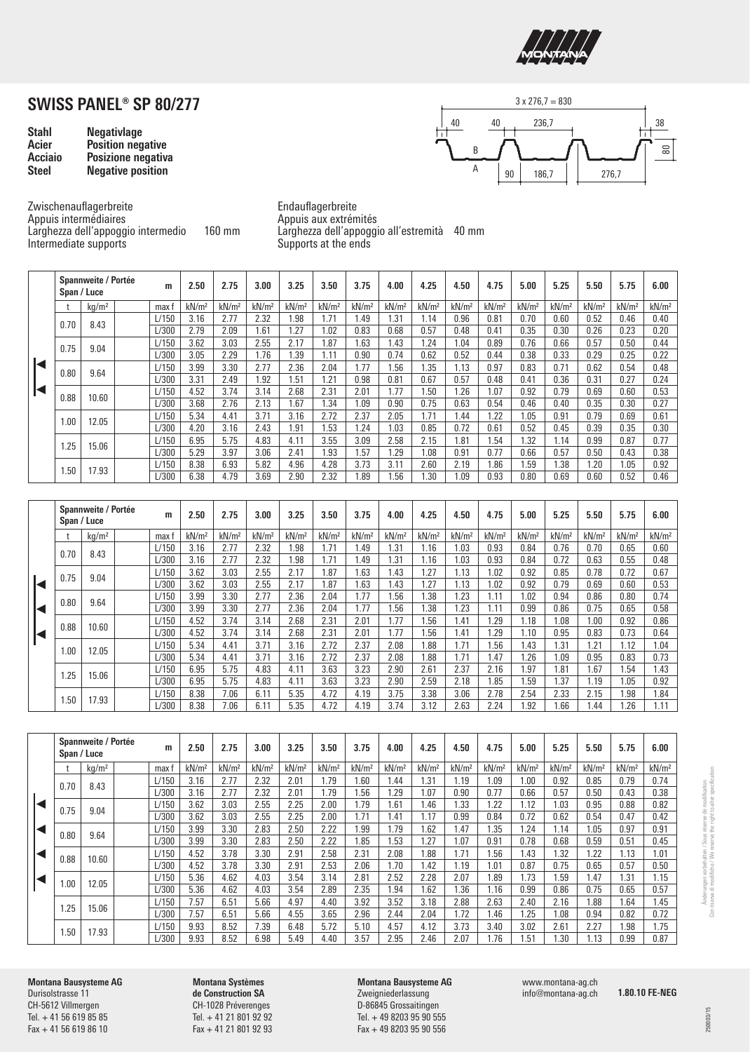

| <b>Stahl</b>   | <b>Negativlage</b>       |
|----------------|--------------------------|
| Acier          | <b>Position negative</b> |
| <b>Acciaio</b> | Posizione negativa       |
| <b>Steel</b>   | <b>Negative position</b> |



Zwischenauflagerbreite Appuis intermédiaires Larghezza dell'appoggio intermedio 160 mm Intermediate supports

Endauflagerbreite Appuis aux extrémités Larghezza dell'appoggio all'estremità 40 mm Supports at the ends

|  | Span / Luce                   | Spannweite / Portée |       | m     | 2.50              | 2.75              | 3.00              | 3.25              | 3.50              | 3.75              | 4.00              | 4.25              | 4.50              | 4.75              | 5.00              | 5.25              | 5.50              | 5.75              | 6.00              |
|--|-------------------------------|---------------------|-------|-------|-------------------|-------------------|-------------------|-------------------|-------------------|-------------------|-------------------|-------------------|-------------------|-------------------|-------------------|-------------------|-------------------|-------------------|-------------------|
|  |                               | kg/m <sup>2</sup>   |       | max f | kN/m <sup>2</sup> | kN/m <sup>2</sup> | kN/m <sup>2</sup> | kN/m <sup>2</sup> | kN/m <sup>2</sup> | kN/m <sup>2</sup> | kN/m <sup>2</sup> | kN/m <sup>2</sup> | kN/m <sup>2</sup> | kN/m <sup>2</sup> | kN/m <sup>2</sup> | kN/m <sup>2</sup> | kN/m <sup>2</sup> | kN/m <sup>2</sup> | kN/m <sup>2</sup> |
|  | 0.70                          | 8.43                |       | L/150 | 3.16              | 2.77              | 2.32              | 1.98              | 1.71              | 1.49              | 1.31              | 1.14              | 0.96              | 0.81              | 0.70              | 0.60              | 0.52              | 0.46              | 0.40              |
|  |                               |                     |       | L/300 | 2.79              | 2.09              | 1.61              | .27               | 1.02              | 0.83              | 0.68              | 0.57              | 0.48              | 0.41              | 0.35              | 0.30              | 0.26              | 0.23              | 0.20              |
|  | 0.75                          | 9.04                |       | L/150 | 3.62              | 3.03              | 2.55              | 2.17              | .87               | 1.63              | 1.43              | 1.24              | 1.04              | 0.89              | 0.76              | 0.66              | 0.57              | 0.50              | 0.44              |
|  |                               |                     |       | L/300 | 3.05              | 2.29              | 1.76              | 1.39              | 1.11              | 0.90              | 0.74              | 0.62              | 0.52              | 0.44              | 0.38              | 0.33              | 0.29              | 0.25              | 0.22              |
|  | 0.80<br>9.64<br>0.88<br>10.60 |                     |       | L/150 | 3.99              | 3.30              | 2.77              | 2.36              | 2.04              | 1.77              | 1.56              | . 35              | 1.13              | 0.97              | 0.83              | 0.71              | 0.62              | 0.54              | 0.48              |
|  |                               |                     |       | L/300 | 3.31              | 2.49              | .92               | .51               | 1.21              | 0.98              | 0.81              | 0.67              | 0.57              | 0.48              | 0.41              | 0.36              | 0.31              | 0.27              | 0.24              |
|  |                               |                     |       | L/150 | 4.52              | 3.74              | 3.14              | 2.68              | 2.31              | 2.01              | 1.77              | .50               | .26               | 1.07              | 0.92              | 0.79              | 0.69              | 0.60              | 0.53              |
|  |                               |                     |       | L/300 | 3.68              | 2.76              | 2.13              | 1.67              | 1.34              | 1.09              | 0.90              | 0.75              | 0.63              | 0.54              | 0.46              | 0.40              | 0.35              | 0.30              | 0.27              |
|  | 1.00                          | 12.05               |       | L/150 | 5.34              | 4.41              | 3.71              | 3.16              | 2.72              | 2.37              | 2.05              | 1.71              | 1.44              | 1.22              | 1.05              | 0.91              | 0.79              | 0.69              | 0.61              |
|  |                               |                     |       | L/300 | 4.20              | 3.16              | 2.43              | 1.91              | 1.53              | 1.24              | 1.03              | 0.85              | 0.72              | 0.61              | 0.52              | 0.45              | 0.39              | 0.35              | 0.30              |
|  |                               |                     |       | L/150 | 6.95              | 5.75              | 4.83              | 4.11              | 3.55              | 3.09              | 2.58              | 2.15              | 1.81              | 1.54              | 1.32              | 1.14              | 0.99              | 0.87              | 0.77              |
|  | 1.25<br>15.06                 |                     | L/300 | 5.29  | 3.97              | 3.06              | 2.41              | 1.93              | 1.57              | .29               | .08               | 0.91              | 0.77              | 0.66              | 0.57              | 0.50              | 0.43              | 0.38              |                   |
|  |                               |                     | L/150 | 8.38  | 6.93              | 5.82              | 4.96              | 4.28              | 3.73              | 3.11              | 2.60              | 2.19              | 1.86              | 1.59              | 1.38              | .20               | 1.05              | 0.92              |                   |
|  | 17.93<br>1.50                 | L/300               | 6.38  | 4.79  | 3.69              | 2.90              | 2.32              | 1.89              | .56               | .30               | 1.09              | 0.93              | 0.80              | 0.69              | 0.60              | 0.52              | 0.46              |                   |                   |

|      | Spannweite / Portée<br>Span / Luce | m     | 2.50              | 2.75              | 3.00              | 3.25              | 3.50              | 3.75              | 4.00              | 4.25              | 4.50              | 4.75              | 5.00              | 5.25              | 5.50              | 5.75              | 6.00              |
|------|------------------------------------|-------|-------------------|-------------------|-------------------|-------------------|-------------------|-------------------|-------------------|-------------------|-------------------|-------------------|-------------------|-------------------|-------------------|-------------------|-------------------|
|      | kq/m <sup>2</sup>                  | max f | kN/m <sup>2</sup> | kN/m <sup>2</sup> | kN/m <sup>2</sup> | kN/m <sup>2</sup> | kN/m <sup>2</sup> | kN/m <sup>2</sup> | kN/m <sup>2</sup> | kN/m <sup>2</sup> | kN/m <sup>2</sup> | kN/m <sup>2</sup> | kN/m <sup>2</sup> | kN/m <sup>2</sup> | kN/m <sup>2</sup> | kN/m <sup>2</sup> | kN/m <sup>2</sup> |
| 0.70 | 8.43                               | L/150 | 3.16              | 2.77              | 2.32              | 1.98              | 1.71              | 1.49              | 1.31              | 1.16              | 1.03              | 0.93              | 0.84              | 0.76              | 0.70              | 0.65              | 0.60              |
|      |                                    | L/300 | 3.16              | 2.77              | 2.32              | 1.98              | 1.71              | 1.49              | .31               | 1.16              | 1.03              | 0.93              | 0.84              | 0.72              | 0.63              | 0.55              | 0.48              |
| 0.75 | 9.04                               | L/150 | 3.62              | 3.03              | 2.55              | 2.17              | 1.87              | 1.63              | .43               | 1.27              | 1.13              | 1.02              | 0.92              | 0.85              | 0.78              | 0.72              | 0.67              |
|      |                                    | L/300 | 3.62              | 3.03              | 2.55              | 2.17              | 1.87              | 1.63              | .43               | 1.27              | 1.13              | 1.02              | 0.92              | 0.79              | 0.69              | 0.60              | 0.53              |
| 0.80 | 9.64                               | L/150 | 3.99              | 3.30              | 2.77              | 2.36              | 2.04              | .77               | .56               | 1.38              | 1.23              | 1.11              | 1.02              | 0.94              | 0.86              | 0.80              | 0.74              |
|      |                                    | L/300 | 3.99              | 3.30              | 2.77              | 2.36              | 2.04              | .77               | .56               | .38               | .23               | 1.11              | 0.99              | 0.86              | 0.75              | 0.65              | 0.58              |
| 0.88 | 10.60                              | L/150 | 4.52              | 3.74              | 3.14              | 2.68              | 2.31              | 2.01              | 1.77              | 1.56              | 1.41              | 1.29              | 1.18              | .08               | 1.00              | 0.92              | 0.86              |
|      |                                    | L/300 | 4.52              | 3.74              | 3.14              | 2.68              | 2.31              | 2.01              | 1.77              | 1.56              | 1.41              | 1.29              | 1.10              | 0.95              | 0.83              | 0.73              | 0.64              |
|      | 12.05                              | L/150 | 5.34              | 4.41              | 3.71              | 3.16              | 2.72              | 2.37              | 2.08              | 1.88              | 1.71              | 1.56              | 1.43              | 1.31              | 1.21              | 1.12              | 1.04              |
| 1.00 |                                    | L/300 | 5.34              | 4.41              | 3.71              | 3.16              | 2.72              | 2.37              | 2.08              | 1.88              | 1.71              | 1.47              | 1.26              | .09               | 0.95              | 0.83              | 0.73              |
| 1.25 | 15.06                              | L/150 | 6.95              | 5.75              | 4.83              | 4.11              | 3.63              | 3.23              | 2.90              | 2.61              | 2.37              | 2.16              | 1.97              | .81               | 1.67              | 1.54              | 1.43              |
|      |                                    | L/300 | 6.95              | 5.75              | 4.83              | 4.11              | 3.63              | 3.23              | 2.90              | 2.59              | 2.18              | 1.85              | 1.59              | .37               | 1.19              | 1.05              | 0.92              |
|      | 17.93<br>1.50                      | L/150 | 8.38              | 7.06              | 6.11              | 5.35              | 4.72              | 4.19              | 3.75              | 3.38              | 3.06              | 2.78              | 2.54              | 2.33              | 2.15              | 1.98              | 1.84              |
|      |                                    | L/300 | 8.38              | 7.06              | 6.11              | 5.35              | 4.72              | 4.19              | 3.74              | 3.12              | 2.63              | 2.24              | .92               | .66               | .44               | .26               | 1.11              |

| Span / Luce  | Spannweite / Portée | m     | 2.50              | 2.75              | 3.00              | 3.25              | 3.50              | 3.75              | 4.00              | 4.25              | 4.50              | 4.75              | 5.00              | 5.25              | 5.50              | 5.75              | 6.00              |
|--------------|---------------------|-------|-------------------|-------------------|-------------------|-------------------|-------------------|-------------------|-------------------|-------------------|-------------------|-------------------|-------------------|-------------------|-------------------|-------------------|-------------------|
|              | kg/m²               | max f | kN/m <sup>2</sup> | kN/m <sup>2</sup> | kN/m <sup>2</sup> | kN/m <sup>2</sup> | kN/m <sup>2</sup> | kN/m <sup>2</sup> | kN/m <sup>2</sup> | kN/m <sup>2</sup> | kN/m <sup>2</sup> | kN/m <sup>2</sup> | kN/m <sup>2</sup> | kN/m <sup>2</sup> | kN/m <sup>2</sup> | kN/m <sup>2</sup> | kN/m <sup>2</sup> |
| 0.70         | 8.43                | L/150 | 3.16              | 2.77              | 2.32              | 2.01              | 1.79              | .60               | .44               | 1.31              | 1.19              | 1.09              | 1.00              | 0.92              | 0.85              | 0.79              | 0.74              |
|              |                     | L/300 | 3.16              | 2.77              | 2.32              | 2.01              | 1.79              | .56               | .29               | 1.07              | 0.90              | 0.77              | 0.66              | 0.57              | 0.50              | 0.43              | 0.38              |
| 0.75         | 9.04                | L/150 | 3.62              | 3.03              | 2.55              | 2.25              | 2.00              | l.79              | .61               | 1.46              | 1.33              | 1.22              | 1.12              | .03               | 0.95              | 0.88              | 0.82              |
|              |                     | L/300 | 3.62              | 3.03              | 2.55              | 2.25              | 2.00              | 1.71              | 1.41              | 1.17              | 0.99              | 0.84              | 0.72              | 0.62              | 0.54              | 0.47              | 0.42              |
| 0.80         | 9.64                | L/150 | 3.99              | 3.30              | 2.83              | 2.50              | 2.22              | .99               | 1.79              | .62               | 1.47              | 1.35              | 1.24              | 1.14              | 1.05              | 0.97              | 0.91              |
|              |                     | L/300 | 3.99              | 3.30              | 2.83              | 2.50              | 2.22              | .85               | 1.53              | .27               | 1.07              | 0.91              | 0.78              | 0.68              | 0.59              | 0.51              | 0.45              |
| 0.88         | 10.60               | L/150 | 4.52              | 3.78              | 3.30              | 2.91              | 2.58              | 2.31              | 2.08              | .88               | 1.71              | 1.56              | 1.43              | .32               | 1.22              | 1.13              | 1.01              |
|              |                     | L/300 | 4.52              | 3.78              | 3.30              | 2.91              | 2.53              | 2.06              | 1.70              | 1.42              | 1.19              | 1.01              | 0.87              | 0.75              | 0.65              | 0.57              | 0.50              |
| .00          | 12.05               | L/150 | 5.36              | 4.62              | 4.03              | 3.54              | 3.14              | 2.81              | 2.52              | 2.28              | 2.07              | 1.89              | 1.73              | .59               | 1.47              | 1.31              | 1.15              |
|              |                     | L/300 | 5.36              | 4.62              | 4.03              | 3.54              | 2.89              | 2.35              | .94               | 1.62              | 1.36              | 1.16              | 0.99              | 0.86              | 0.75              | 0.65              | 0.57              |
|              | 15.06               | L/150 | 7.57              | 6.51              | 5.66              | 4.97              | 4.40              | 3.92              | 3.52              | 3.18              | 2.88              | 2.63              | 2.40              | 2.16              | 1.88              | 1.64              | 1.45              |
|              |                     | L/300 | 7.57              | 6.51              | 5.66              | 4.55              | 3.65              | 2.96              | 2.44              | 2.04              | 1.72              | 1.46              | 1.25              | .08               | 0.94              | 0.82              | 0.72              |
| 1.25<br>1.50 | 17.93               | L/150 | 9.93              | 8.52              | 7.39              | 6.48              | 5.72              | 5.10              | 4.57              | 4.12              | 3.73              | 3.40              | 3.02              | 2.61              | 2.27              | l.98              | 1.75              |
|              |                     | L/300 | 9.93              | 8.52              | 6.98              | 5.49              | 4.40              | 3.57              | 2.95              | 2.46              | 2.07              | 1.76              | .51               | .30               | 1.13              | 0.99              | 0.87              |

**Montana Bausysteme AG** Durisolstrasse 11 CH-5612 Villmergen Tel. + 41 56 619 85 85 Fax + 41 56 619 86 10

**Montana Systèmes de Construction SA** CH-1028 Préverenges Tel. + 41 21 801 92 92 Fax + 41 21 801 92 93 **Montana Bausysteme AG** Zweigniederlassung D-86845 Grossaitingen Tel. + 49 8203 95 90 555 Fax + 49 8203 95 90 556

www.montana-ag.ch info@montana-ag.ch

**1.80.10 FE-NEG**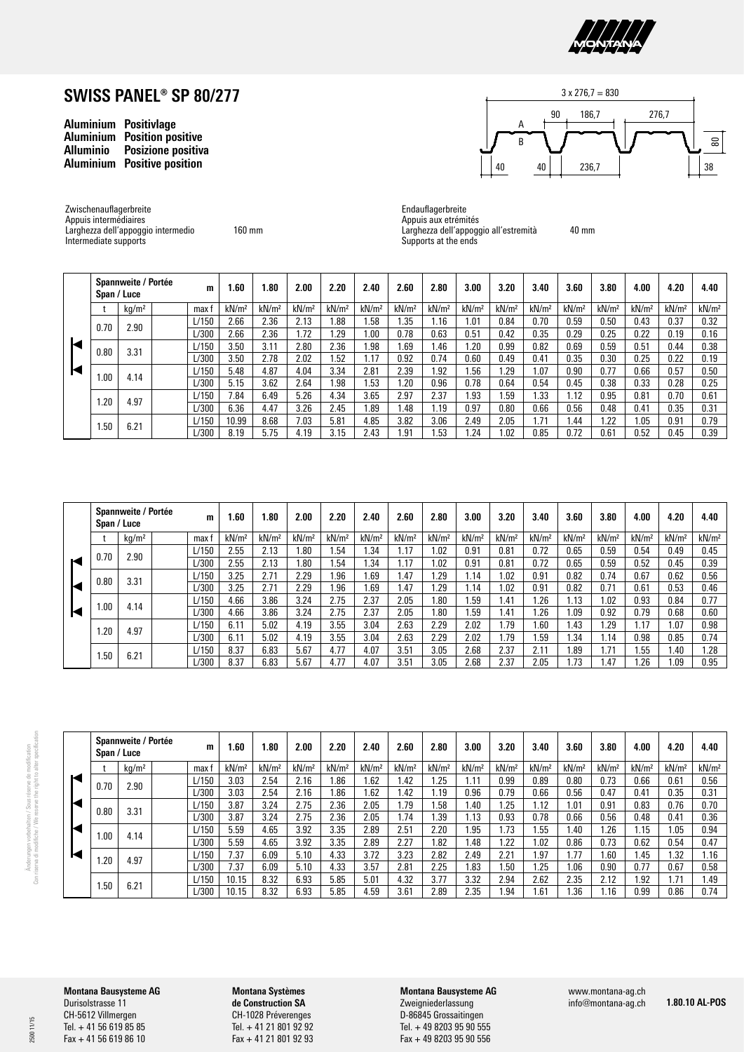

| <b>Aluminium</b> | <b>Positivlage</b>       |
|------------------|--------------------------|
| <b>Aluminium</b> | <b>Position positive</b> |
| <b>Alluminio</b> | Posizione positiva       |
| <b>Aluminium</b> | <b>Positive position</b> |

Larghezza dell'appoggio intermedio

Zwischenauflagerbreite Appuis intermédiaires

Intermediate supports

| iuva<br>ion |             |
|-------------|-------------|
|             |             |
|             | Endauflager |

160 mm



agerbreite Appuis aux etrémités Larghezza dell'appoggio all'estremità Supports at the ends 40 mm

|      | Spannweite / Portée<br>Span / Luce |       | m     | 1.60              | 1.80              | 2.00              | 2.20              | 2.40              | 2.60              | 2.80              | 3.00              | 3.20              | 3.40              | 3.60              | 3.80              | 4.00              | 4.20              | 4.40              |
|------|------------------------------------|-------|-------|-------------------|-------------------|-------------------|-------------------|-------------------|-------------------|-------------------|-------------------|-------------------|-------------------|-------------------|-------------------|-------------------|-------------------|-------------------|
|      | kq/m <sup>2</sup>                  |       | max:  | kN/m <sup>2</sup> | kN/m <sup>2</sup> | kN/m <sup>2</sup> | kN/m <sup>2</sup> | kN/m <sup>2</sup> | kN/m <sup>2</sup> | kN/m <sup>2</sup> | kN/m <sup>2</sup> | kN/m <sup>2</sup> | kN/m <sup>2</sup> | kN/m <sup>2</sup> | kN/m <sup>2</sup> | kN/m <sup>2</sup> | kN/m <sup>2</sup> | kN/m <sup>2</sup> |
| 0.70 | 2.90                               |       | L/150 | 2.66              | 2.36              | 2.13              | .88               | 1.58              | .35               | 1.16              | .01               | 0.84              | 0.70              | 0.59              | 0.50              | 0.43              | 0.37              | 0.32              |
|      |                                    |       | ./300 | 2.66              | 2.36              | .72               | .29               | 1.00              | 0.78              | 0.63              | 0.51              | 0.42              | 0.35              | 0.29              | 0.25              | 0.22              | 0.19              | 0.16              |
| 0.80 | 3.31                               |       | L/150 | 3.50              | 3.11              | 2.80              | 2.36              | l.98              | .69               | <b>1.46</b>       | .20               | 0.99              | 0.82              | 0.69              | 0.59              | 0.51              | 0.44              | 0.38              |
|      |                                    |       | ./300 | 3.50              | 2.78              | 2.02              | .52               | 1.17              | 0.92              | 0.74              | 0.60              | 0.49              | 0.41              | 0.35              | 0.30              | 0.25              | 0.22              | 0.19              |
|      | 4.14                               |       | L/150 | 5.48              | 4.87              | 4.04              | 3.34              | 2.81              | 2.39              | <b>1.92</b>       | .56               | .29               | 1.07              | 0.90              | 0.77              | 0.66              | 0.57              | 0.50              |
| .00  |                                    |       | ./300 | 5.15              | 3.62              | 2.64              | .98               | 1.53              | .20               | 0.96              | 0.78              | 0.64              | 0.54              | 0.45              | 0.38              | 0.33              | 0.28              | 0.25              |
|      | 4.97                               |       | L/150 | 7.84              | 6.49              | 5.26              | 4.34              | 3.65              | 2.97              | 2.37              | .93               | .59               | 1.33              | 1.12              | 0.95              | 0.81              | 0.70              | 0.61              |
| 1.20 |                                    |       | 1/300 | 6.36              | 4.47              | 3.26              | 2.45              | 1.89              | 1.48              | 1.19              | 0.97              | 0.80              | 0.66              | 0.56              | 0.48              | 0.41              | 0.35              | 0.31              |
|      |                                    | L/150 | 10.99 | 8.68              | 7.03              | 5.81              | 4.85              | 3.82              | 3.06              | 2.49              | 2.05              | 1.71              | 1.44              | 1.22              | .05               | 0.91              | 0.79              |                   |
|      | 6.21<br>1.50                       | /300  | 8.19  | 5.75              | 4.19              | 3.15              | 2.43              | i.91              | 1.53              | .24               | .02               | 0.85              | 0.72              | 0.61              | 0.52              | 0.45              | 0.39              |                   |

|  |      | Spannweite / Portée<br>Span / Luce | m     | 1.60              | 1.80              | 2.00              | 2.20              | 2.40              | 2.60              | 2.80              | 3.00              | 3.20              | 3.40              | 3.60              | 3.80              | 4.00              | 4.20              | 4.40              |
|--|------|------------------------------------|-------|-------------------|-------------------|-------------------|-------------------|-------------------|-------------------|-------------------|-------------------|-------------------|-------------------|-------------------|-------------------|-------------------|-------------------|-------------------|
|  |      | kg/m <sup>2</sup>                  | max f | kN/m <sup>2</sup> | kN/m <sup>2</sup> | kN/m <sup>2</sup> | kN/m <sup>2</sup> | kN/m <sup>2</sup> | kN/m <sup>2</sup> | kN/m <sup>2</sup> | kN/m <sup>2</sup> | kN/m <sup>2</sup> | kN/m <sup>2</sup> | kN/m <sup>2</sup> | kN/m <sup>2</sup> | kN/m <sup>2</sup> | kN/m <sup>2</sup> | kN/m <sup>2</sup> |
|  | 0.70 | 2.90                               | L/150 | 2.55              | 2.13              | .80               | .54               | .34               | 1.17              | 1.02              | 0.91              | 0.81              | 0.72              | 0.65              | 0.59              | 0.54              | 0.49              | 0.45              |
|  |      |                                    | L/300 | 2.55              | 2.13              | .80               | 54                | 1.34              | 1.17              | .02               | 0.91              | 0.81              | 0.72              | 0.65              | 0.59              | 0.52              | 0.45              | 0.39              |
|  | 0.80 | 3.31                               | L/150 | 3.25              | 2.71              | 2.29              | .96               | 1.69              | 1.47              | . 29              | l.14              | .02               | 0.91              | 0.82              | 0.74              | 0.67              | 0.62              | 0.56              |
|  |      |                                    | L/300 | 3.25              | 2.71              | 2.29              | .96               | <b>69.</b>        | 1.47              | . 29              | 1.14              | 1.02              | 0.91              | 0.82              | 0.71              | 0.61              | 0.53              | 0.46              |
|  | .00  | 4.14                               | L/150 | 4.66              | 3.86              | 3.24              | 2.75              | 2.37              | 2.05              | .80               | .59               | .41               | .26               | 1.13              | i.02              | 0.93              | 0.84              | 0.77              |
|  |      |                                    | 1/300 | 4.66              | 3.86              | 3.24              | 2.75              | 2.37              | 2.05              | .80               | .59               | 1.41              | .26               | 1.09              | 0.92              | 0.79              | 0.68              | 0.60              |
|  | 1.20 | 4.97                               | L/150 | 6.11              | 5.02              | 4.19              | 3.55              | 3.04              | 2.63              | 2.29              | 2.02              | <b>1.79</b>       | .60               | 43،،              | .29               | 1.17              | .07               | 0.98              |
|  |      |                                    | L/300 | 6.11              | 5.02              | 4.19              | 3.55              | 3.04              | 2.63              | 2.29              | 2.02              | 1.79              | .59               | .34               | 1.14              | 0.98              | 0.85              | 0.74              |
|  | 1.50 | 6.21                               | L/150 | 8.37              | 6.83              | 5.67              | 4.77              | 4.07              | 3.51              | 3.05              | 2.68              | 2.37              | 2.11              | . 89              | 1.71              | .55               | .40               | .28               |
|  |      |                                    | L/300 | 8.37              | 6.83              | 5.67              | 4.77              | 4.07              | 3.51              | 3.05              | 2.68              | 2.37              | 2.05              | . 73              | 1.47              | .26               | .09               | 0.95              |

|   | Span / Luce  | Spannweite / Portée | m     | .60               | 1.80              | 2.00              | 2.20              | 2.40              | 2.60              | 2.80              | 3.00              | 3.20              | 3.40              | 3.60              | 3.80              | 4.00              | 4.20              | 4.40              |
|---|--------------|---------------------|-------|-------------------|-------------------|-------------------|-------------------|-------------------|-------------------|-------------------|-------------------|-------------------|-------------------|-------------------|-------------------|-------------------|-------------------|-------------------|
|   |              | kg/m <sup>2</sup>   | max   | kN/m <sup>2</sup> | kN/m <sup>2</sup> | kN/m <sup>2</sup> | kN/m <sup>2</sup> | kN/m <sup>2</sup> | kN/m <sup>2</sup> | kN/m <sup>2</sup> | kN/m <sup>2</sup> | kN/m <sup>2</sup> | kN/m <sup>2</sup> | kN/m <sup>2</sup> | kN/m <sup>2</sup> | kN/m <sup>2</sup> | kN/m <sup>2</sup> | kN/m <sup>2</sup> |
| Ю | 0.70         | 2.90                | L/150 | 3.03              | 2.54              | 2.16              | i.86              | .62               | .42               | .25               | 1.11              | 0.99              | 0.89              | 0.80              | 0.73              | 0.66              | 0.61              | 0.56              |
|   |              |                     | L/300 | 3.03              | 2.54              | 2.16              | 1.86              | .62               | .42               | .19               | 0.96              | 0.79              | 0.66              | 0.56              | 0.47              | 0.41              | 0.35              | 0.31              |
| Ю | 0.80         | 3.31                | L/150 | 3.87              | 3.24              | 2.75              | 2.36              | 2.05              | .79               | .58               | 1.40              | .25               | 1.12              | .01               | 0.91              | 0.83              | 0.76              | 0.70              |
|   |              |                     | L/300 | 3.87              | 3.24              | 2.75              | 2.36              | 2.05              | .74               | .39               | 1.13              | 0.93              | 0.78              | 0.66              | 0.56              | 0.48              | 0.41              | 0.36              |
| Ю |              | 4.14                | L/150 | 5.59              | 4.65              | 3.92              | 3.35              | 2.89              | 2.51              | 2.20              | .95               | .73               | .55               | 1.40              | . 26              | 1.15              | .05               | 0.94              |
|   | .00.         |                     | 1/300 | 5.59              | 4.65              | 3.92              | 3.35              | 2.89              | 2.27              | .82               | l.48              | .22               | .02               | 0.86              | 0.73              | 0.62              | 0.54              | 0.47              |
| Ю |              | 4.97                | L/150 | 7.37              | 6.09              | 5.10              | 4.33              | 3.72              | 3.23              | 2.82              | 2.49              | 2.21              | .97               | 1.77              | .60               | .45               | .32               | 1.16              |
|   | .20          |                     | L/300 | 7.37              | 6.09              | 5.10              | 4.33              | 3.57              | 2.81              | 2.25              | .83               | 1.50              | .25               | 1.06              | 0.90              | 0.77              | 0.67              | 0.58              |
|   |              |                     | L/150 | 10.15             | 8.32              | 6.93              | 5.85              | 5.01              | 4.32              | 3.77              | 3.32              | 2.94              | 2.62              | 2.35              | 2.12              | l.92              | .71               | 1.49              |
|   | 6.21<br>i.50 | L/300               | 10.15 | 8.32              | 6.93              | 5.85              | 4.59              | 3.61              | 2.89              | 2.35              | .94               | .61               | .36               | . 16              | 0.99              | 0.86              | 0.74              |                   |

2500 11/15

**Montana Bausysteme AG** Durisolstrasse 11 CH-5612 Villmergen Tel. + 41 56 619 85 85 Fax + 41 56 619 86 10

**Montana Systèmes de Construction SA** CH-1028 Préverenges Tel. + 41 21 801 92 92 Fax + 41 21 801 92 93 **Montana Bausysteme AG** Zweigniederlassung D-86845 Grossaitingen

Tel. + 49 8203 95 90 555 Fax + 49 8203 95 90 556 www.montana-ag.ch info@montana-ag.ch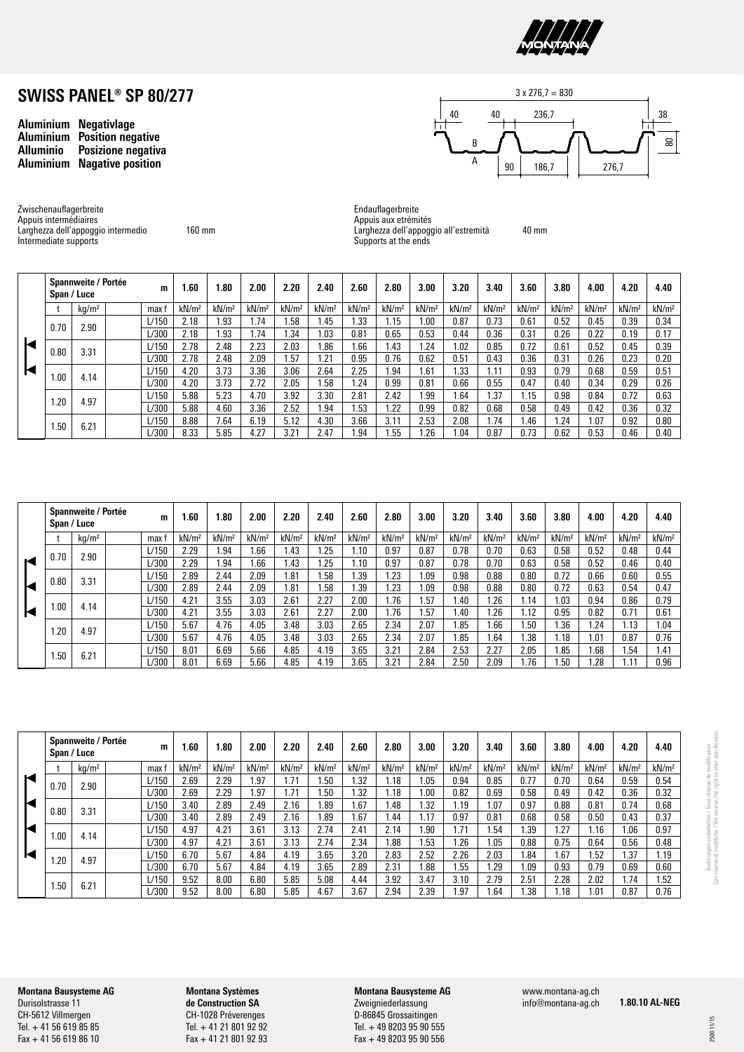

**Aluminium Negativlage Aluminium Position negative Posizione negativa Aluminium Nagative position**



Zwischenauflagerbreite Appuis intermédiaires Larghezza dell'appoggio intermedio Intermediate supports

160 mm

Endauflagerbreite Appuis aux etrémités Larghezza dell'appoggio all'estremità Supports at the ends

40 mm

|      | Spannweite / Portée<br>Span / Luce | m     | 1.60              | 1.80              | 2.00              | 2.20              | 2.40              | 2.60              | 2.80              | 3.00              | 3.20              | 3.40              | 3.60              | 3.80              | 4.00              | 4.20              | 4.40              |
|------|------------------------------------|-------|-------------------|-------------------|-------------------|-------------------|-------------------|-------------------|-------------------|-------------------|-------------------|-------------------|-------------------|-------------------|-------------------|-------------------|-------------------|
|      | kq/m <sup>2</sup>                  | max:  | kN/m <sup>2</sup> | kN/m <sup>2</sup> | kN/m <sup>2</sup> | kN/m <sup>2</sup> | kN/m <sup>2</sup> | kN/m <sup>2</sup> | kN/m <sup>2</sup> | kN/m <sup>2</sup> | kN/m <sup>2</sup> | kN/m <sup>2</sup> | kN/m <sup>2</sup> | kN/m <sup>2</sup> | kN/m <sup>2</sup> | kN/m <sup>2</sup> | kN/m <sup>2</sup> |
| 0.70 | 2.90                               | L/150 | 2.18              | 1.93              | .74               | .58               | 1.45              | . 33              | .15               | .00.              | 0.87              | 0.73              | 0.61              | 0.52              | 0.45              | 0.39              | 0.34              |
|      |                                    | 1/300 | 2.18              | 1.93              | 1.74              | .34               | 1.03              | 0.81              | 0.65              | 0.53              | 0.44              | 0.36              | 0.31              | 0.26              | 0.22              | 0.19              | 0.17              |
| 0.80 | 3.31                               | L/150 | 2.78              | 2.48              | 2.23              | 2.03              | 1.86              | 1.66              | 1.43              | 1.24              | 1.02              | 0.85              | 0.72              | 0.61              | 0.52              | 0.45              | 0.39              |
|      |                                    | L/300 | 2.78              | 2.48              | 2.09              | .57               | .21               | 0.95              | 0.76              | 0.62              | 0.51              | 0.43              | 0.36              | 0.31              | 0.26              | 0.23              | 0.20              |
| 1.00 | 4.14                               | L/150 | 4.20              | 3.73              | 3.36              | 3.06              | 2.64              | 2.25              | <b>94</b>         | 1.61              | 1.33              | 1.11              | 0.93              | 0.79              | 0.68              | 0.59              | 0.51              |
|      |                                    | L/300 | 4.20              | 3.73              | 2.72              | 2.05              | .58               | 1.24              | 0.99              | 0.81              | 0.66              | 0.55              | 0.47              | 0.40              | 0.34              | 0.29              | 0.26              |
| 1.20 | 4.97                               | L/150 | 5.88              | 5.23              | 4.70              | 3.92              | 3.30              | 2.81              | 2.42              | 1.99              | .64               | .37               | 1.15              | 0.98              | 0.84              | 0.72              | 0.63              |
|      |                                    | L/300 | 5.88              | 4.60              | 3.36              | 2.52              | .94               | .53               | .22               | 0.99              | 0.82              | 0.68              | 0.58              | 0.49              | 0.42              | 0.36              | 0.32              |
|      | 6.21                               | L/150 | 8.88              | 7.64              | 6.19              | 5.12              | 4.30              | 3.66              | 3.11              | 2.53              | 2.08              | .74               | I.46              | .24               | .07               | 0.92              | 0.80              |
| 1.50 |                                    | L/300 | 8.33              | 5.85              | 4.27              | 3.21              | 2.47              | .94               | .55               | . 26              | .04               | 0.87              | 0.73              | 0.62              | 0.53              | 0.46              | 0.40              |

|   | Span / Luce | Spannweite / Portée | m     | .60               | 1.80              | 2.00              | 2.20              | 2.40              | 2.60              | 2.80              | 3.00              | 3.20              | 3.40              | 3.60              | 3.80              | 4.00              | 4.20              | 4.40              |
|---|-------------|---------------------|-------|-------------------|-------------------|-------------------|-------------------|-------------------|-------------------|-------------------|-------------------|-------------------|-------------------|-------------------|-------------------|-------------------|-------------------|-------------------|
|   |             | kg/m <sup>2</sup>   | max f | kN/m <sup>2</sup> | kN/m <sup>2</sup> | kN/m <sup>2</sup> | kN/m <sup>2</sup> | kN/m <sup>2</sup> | kN/m <sup>2</sup> | kN/m <sup>2</sup> | kN/m <sup>2</sup> | kN/m <sup>2</sup> | kN/m <sup>2</sup> | kN/m <sup>2</sup> | kN/m <sup>2</sup> | kN/m <sup>2</sup> | kN/m <sup>2</sup> | kN/m <sup>2</sup> |
|   | 0.70        | 2.90                | L/150 | 2.29              | ∣.94              | .66               | 1.43              | .25               | .10               | 0.97              | 0.87              | 0.78              | 0.70              | 0.63              | 0.58              | 0.52              | 0.48              | 0.44              |
| ю |             |                     | L/300 | 2.29              | l 94              | .66               | 1.43              | .25               | .10               | 0.97              | 0.87              | 0.78              | 0.70              | 0.63              | 0.58              | 0.52              | 0.46              | 0.40              |
|   | 0.80        | 3.31                | L/150 | 2.89              | 2.44              | 2.09              | . 81              | .58               | .39               | .23               | .09               | 0.98              | 0.88              | 0.80              | 0.72              | 0.66              | 0.60              | 0.55              |
|   |             |                     | L/300 | 2.89              | 2.44              | 2.09              | .81               | 1.58              | .39               | .23               | i.O9              | 0.98              | 0.88              | 0.80              | 0.72              | 0.63              | 0.54              | 0.47              |
|   |             | 4.14                | L/150 | 4.21              | 3.55              | 3.03              | 2.61              | 2.27              | 2.00              | .76               | . 57              | .40               | . 26              | .14               | .03               | 0.94              | 0.86              | 0.79              |
|   | $1.00\,$    |                     | L/300 | 4.21              | 3.55              | 3.03              | 2.61              | 2.27              | 2.00              | .76               | . 57              | 1.40              | .26               | .12               | 0.95              | 0.82              | 0.71              | 0.61              |
|   |             | 4.97                | L/150 | 5.67              | 4.76              | 4.05              | 3.48              | 3.03              | 2.65              | 2.34              | 2.07              | 1.85              | . 66              | .50               | .36               | .24               | .13               | 1.04              |
|   | .20         |                     | L/300 | 5.67              | 4.76              | 4.05              | 3.48              | 3.03              | 2.65              | 2.34              | 2.07              | 1.85              | 1.64              | .38               | l.18              | 1.01              | 0.87              | 0.76              |
|   |             |                     | L/150 | 8.01              | 6.69              | 5.66              | 4.85              | 4.19              | 3.65              | 3.21              | 2.84              | 2.53              | 2.27              | 2.05              | .85               | .68               | . 54              | 1.41              |
|   |             | . 50<br>6.21        | L/300 | 8.01              | 6.69              | 5.66              | 4.85              | 4.19              | 3.65              | 3.21              | 2.84              | 2.50              | 2.09              | .76               | .50               | .28               |                   | 0.96              |

|      | Spannweite / Portée<br>Span / Luce | m     | .60               | 1.80              | 2.00              | 2.20              | 2.40              | 2.60              | 2.80              | 3.00              | 3.20              | 3.40              | 3.60              | 3.80              | 4.00              | 4.20              | 4.40              |
|------|------------------------------------|-------|-------------------|-------------------|-------------------|-------------------|-------------------|-------------------|-------------------|-------------------|-------------------|-------------------|-------------------|-------------------|-------------------|-------------------|-------------------|
|      | kq/m <sup>2</sup>                  | max   | kN/m <sup>2</sup> | kN/m <sup>2</sup> | kN/m <sup>2</sup> | kN/m <sup>2</sup> | kN/m <sup>2</sup> | kN/m <sup>2</sup> | kN/m <sup>2</sup> | kN/m <sup>2</sup> | kN/m <sup>2</sup> | kN/m <sup>2</sup> | kN/m <sup>2</sup> | kN/m <sup>2</sup> | kN/m <sup>2</sup> | kN/m <sup>2</sup> | kN/m <sup>2</sup> |
| 0.70 | 2.90                               | L/150 | 2.69              | 2.29              | .97               | .71               | .50               | 1.32              | 1.18              | .05               | 0.94              | 0.85              | 0.77              | 0.70              | 0.64              | 0.59              | 0.54              |
|      |                                    | L/300 | 2.69              | 2.29              | .97               | .71               | .50               | .32               | i.18              | .00               | 0.82              | 0.69              | 0.58              | 0.49              | 0.42              | 0.36              | 0.32              |
| 0.80 | 3.31                               | L/150 | 3.40              | 2.89              | 2.49              | 2.16              | . 89              | .67               | 1.48              | .32               | .19               | 1.07              | 0.97              | 0.88              | 0.81              | 0.74              | 0.68              |
|      |                                    | 1/300 | 3.40              | 2.89              | 2.49              | 2.16              | .89               | 1.67              | <b>.44</b>        | 1.17              | 0.97              | 0.81              | 0.68              | 0.58              | 0.50              | 0.43              | 0.37              |
| 00.1 | 4.14                               | L/150 | 4.97              | 4.21              | 3.61              | 3.13              | 2.74              | 2.41              | 2.14              | .90               | .71               | . 54              | 1.39              | .27               | . 16              | , 06              | 0.97              |
|      |                                    | L/300 | 4.97              | 4.21              | 3.61              | 3.13              | 2.74              | 2.34              | 1.88              | .53               | .26               | .05               | 0.88              | 0.75              | 0.64              | 0.56              | 0.48              |
| .20  | 4.97                               | L/150 | 6.70              | 5.67              | 4.84              | 4.19              | 3.65              | 3.20              | 2.83              | 2.52              | 2.26              | 2.03              | 1.84              | .67               | .52               | .37               | 1.19              |
|      |                                    | L/300 | 6.70              | 5.67              | 4.84              | 4.19              | 3.65              | 2.89              | 2.31              | .88               | . 55              | .29               | 1.09              | 0.93              | 0.79              | 0.69              | 0.60              |
| .50  | 6.21                               | L/150 | 9.52              | 8.00              | 6.80              | 5.85              | 5.08              | 4.44              | 3.92              | 3.47              | 3.10              | 2.79              | 2.51              | 2.28              | 2.02              | .74               | .52               |
|      |                                    | L/300 | 9.52              | 8.00              | 6.80              | 5.85              | 4.67              | 3.67              | 2.94              | 2.39              | .97               | .64               | ∣.38              | $\overline{.18}$  | .01               | 0.87              | 0.76              |

**Montana Bausysteme AG** Durisolstrasse 11 CH-5612 Villmergen Tel. + 41 56 619 85 85 Fax + 41 56 619 86 10

**Montana Systèmes de Construction SA** CH-1028 Préverenges Tel. + 41 21 801 92 92 Fax + 41 21 801 92 93

**Montana Bausysteme AG** Zweigniederlassung D-86845 Grossaitingen Tel. + 49 8203 95 90 555 Fax + 49 8203 95 90 556

www.montana-ag.ch info@montana-ag.ch

**1.80.10 AL-NEG**